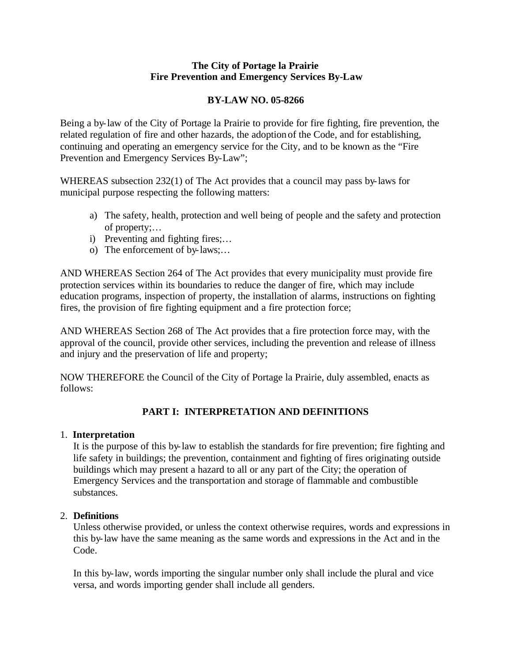### **The City of Portage la Prairie Fire Prevention and Emergency Services By-Law**

## **BY-LAW NO. 05-8266**

Being a by-law of the City of Portage la Prairie to provide for fire fighting, fire prevention, the related regulation of fire and other hazards, the adoption of the Code, and for establishing, continuing and operating an emergency service for the City, and to be known as the "Fire Prevention and Emergency Services By-Law";

WHEREAS subsection 232(1) of The Act provides that a council may pass by-laws for municipal purpose respecting the following matters:

- a) The safety, health, protection and well being of people and the safety and protection of property;…
- i) Preventing and fighting fires;…
- o) The enforcement of by-laws;…

AND WHEREAS Section 264 of The Act provides that every municipality must provide fire protection services within its boundaries to reduce the danger of fire, which may include education programs, inspection of property, the installation of alarms, instructions on fighting fires, the provision of fire fighting equipment and a fire protection force;

AND WHEREAS Section 268 of The Act provides that a fire protection force may, with the approval of the council, provide other services, including the prevention and release of illness and injury and the preservation of life and property;

NOW THEREFORE the Council of the City of Portage la Prairie, duly assembled, enacts as follows:

# **PART I: INTERPRETATION AND DEFINITIONS**

## 1. **Interpretation**

It is the purpose of this by-law to establish the standards for fire prevention; fire fighting and life safety in buildings; the prevention, containment and fighting of fires originating outside buildings which may present a hazard to all or any part of the City; the operation of Emergency Services and the transportation and storage of flammable and combustible substances.

## 2. **Definitions**

Unless otherwise provided, or unless the context otherwise requires, words and expressions in this by-law have the same meaning as the same words and expressions in the Act and in the Code.

In this by-law, words importing the singular number only shall include the plural and vice versa, and words importing gender shall include all genders.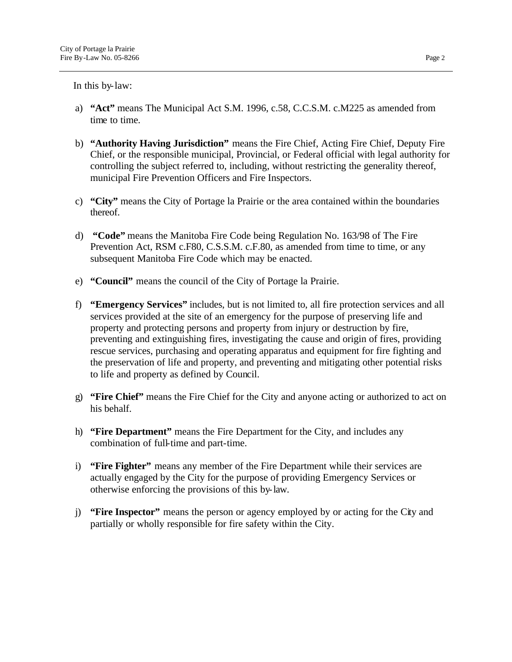In this by-law:

- a) **"Act"** means The Municipal Act S.M. 1996, c.58, C.C.S.M. c.M225 as amended from time to time.
- b) **"Authority Having Jurisdiction"** means the Fire Chief, Acting Fire Chief, Deputy Fire Chief, or the responsible municipal, Provincial, or Federal official with legal authority for controlling the subject referred to, including, without restricting the generality thereof, municipal Fire Prevention Officers and Fire Inspectors.
- c) **"City"** means the City of Portage la Prairie or the area contained within the boundaries thereof.
- d) **"Code"** means the Manitoba Fire Code being Regulation No. 163/98 of The Fire Prevention Act, RSM c.F80, C.S.S.M. c.F.80, as amended from time to time, or any subsequent Manitoba Fire Code which may be enacted.
- e) **"Council"** means the council of the City of Portage la Prairie.
- f) **"Emergency Services"** includes, but is not limited to, all fire protection services and all services provided at the site of an emergency for the purpose of preserving life and property and protecting persons and property from injury or destruction by fire, preventing and extinguishing fires, investigating the cause and origin of fires, providing rescue services, purchasing and operating apparatus and equipment for fire fighting and the preservation of life and property, and preventing and mitigating other potential risks to life and property as defined by Council.
- g) **"Fire Chief"** means the Fire Chief for the City and anyone acting or authorized to act on his behalf.
- h) **"Fire Department"** means the Fire Department for the City, and includes any combination of full-time and part-time.
- i) **"Fire Fighter"** means any member of the Fire Department while their services are actually engaged by the City for the purpose of providing Emergency Services or otherwise enforcing the provisions of this by-law.
- j) **"Fire Inspector"** means the person or agency employed by or acting for the City and partially or wholly responsible for fire safety within the City.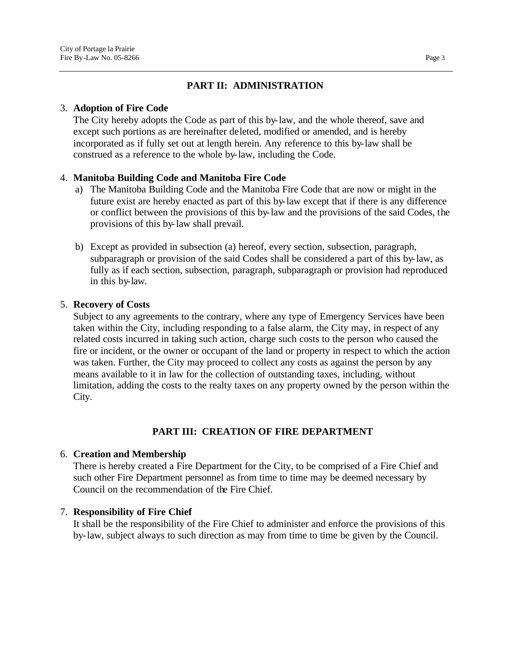## **PART II: ADMINISTRATION**

## 3. **Adoption of Fire Code**

The City hereby adopts the Code as part of this by-law, and the whole thereof, save and except such portions as are hereinafter deleted, modified or amended, and is hereby incorporated as if fully set out at length herein. Any reference to this by-law shall be construed as a reference to the whole by-law, including the Code.

## 4. **Manitoba Building Code and Manitoba Fire Code**

- a) The Manitoba Building Code and the Manitoba Fire Code that are now or might in the future exist are hereby enacted as part of this by-law except that if there is any difference or conflict between the provisions of this by-law and the provisions of the said Codes, the provisions of this by-law shall prevail.
- b) Except as provided in subsection (a) hereof, every section, subsection, paragraph, subparagraph or provision of the said Codes shall be considered a part of this by-law, as fully as if each section, subsection, paragraph, subparagraph or provision had reproduced in this by-law.

## 5. **Recovery of Costs**

Subject to any agreements to the contrary, where any type of Emergency Services have been taken within the City, including responding to a false alarm, the City may, in respect of any related costs incurred in taking such action, charge such costs to the person who caused the fire or incident, or the owner or occupant of the land or property in respect to which the action was taken. Further, the City may proceed to collect any costs as against the person by any means available to it in law for the collection of outstanding taxes, including, without limitation, adding the costs to the realty taxes on any property owned by the person within the City.

## **PART III: CREATION OF FIRE DEPARTMENT**

## 6. **Creation and Membership**

There is hereby created a Fire Department for the City, to be comprised of a Fire Chief and such other Fire Department personnel as from time to time may be deemed necessary by Council on the recommendation of the Fire Chief.

## 7. **Responsibility of Fire Chief**

It shall be the responsibility of the Fire Chief to administer and enforce the provisions of this by-law, subject always to such direction as may from time to time be given by the Council.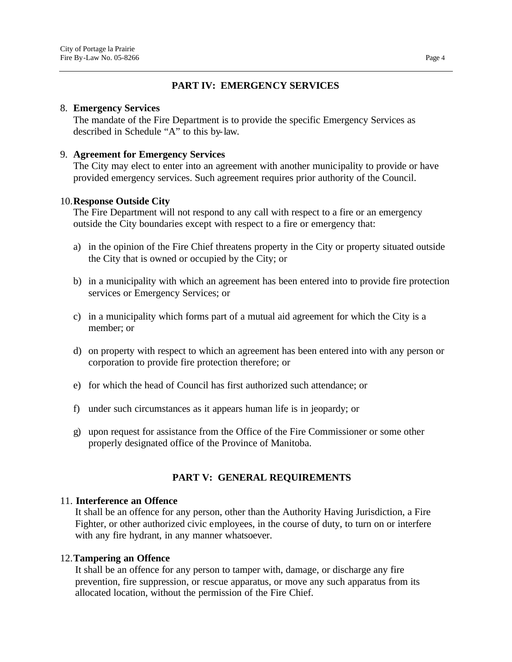## **PART IV: EMERGENCY SERVICES**

### 8. **Emergency Services**

The mandate of the Fire Department is to provide the specific Emergency Services as described in Schedule "A" to this by-law.

### 9. **Agreement for Emergency Services**

The City may elect to enter into an agreement with another municipality to provide or have provided emergency services. Such agreement requires prior authority of the Council.

### 10.**Response Outside City**

The Fire Department will not respond to any call with respect to a fire or an emergency outside the City boundaries except with respect to a fire or emergency that:

- a) in the opinion of the Fire Chief threatens property in the City or property situated outside the City that is owned or occupied by the City; or
- b) in a municipality with which an agreement has been entered into to provide fire protection services or Emergency Services; or
- c) in a municipality which forms part of a mutual aid agreement for which the City is a member; or
- d) on property with respect to which an agreement has been entered into with any person or corporation to provide fire protection therefore; or
- e) for which the head of Council has first authorized such attendance; or
- f) under such circumstances as it appears human life is in jeopardy; or
- g) upon request for assistance from the Office of the Fire Commissioner or some other properly designated office of the Province of Manitoba.

### **PART V: GENERAL REQUIREMENTS**

### 11. **Interference an Offence**

It shall be an offence for any person, other than the Authority Having Jurisdiction, a Fire Fighter, or other authorized civic employees, in the course of duty, to turn on or interfere with any fire hydrant, in any manner whatsoever.

### 12.**Tampering an Offence**

It shall be an offence for any person to tamper with, damage, or discharge any fire prevention, fire suppression, or rescue apparatus, or move any such apparatus from its allocated location, without the permission of the Fire Chief.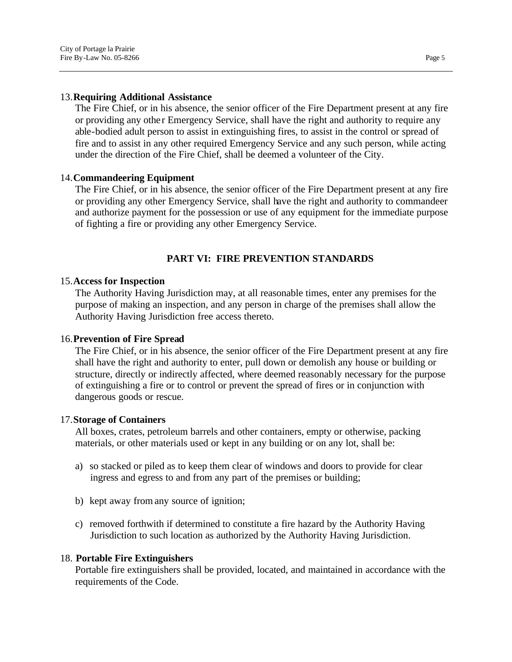### 13.**Requiring Additional Assistance**

The Fire Chief, or in his absence, the senior officer of the Fire Department present at any fire or providing any othe r Emergency Service, shall have the right and authority to require any able-bodied adult person to assist in extinguishing fires, to assist in the control or spread of fire and to assist in any other required Emergency Service and any such person, while acting under the direction of the Fire Chief, shall be deemed a volunteer of the City.

### 14.**Commandeering Equipment**

The Fire Chief, or in his absence, the senior officer of the Fire Department present at any fire or providing any other Emergency Service, shall have the right and authority to commandeer and authorize payment for the possession or use of any equipment for the immediate purpose of fighting a fire or providing any other Emergency Service.

### **PART VI: FIRE PREVENTION STANDARDS**

#### 15.**Access for Inspection**

The Authority Having Jurisdiction may, at all reasonable times, enter any premises for the purpose of making an inspection, and any person in charge of the premises shall allow the Authority Having Jurisdiction free access thereto.

#### 16.**Prevention of Fire Spread**

The Fire Chief, or in his absence, the senior officer of the Fire Department present at any fire shall have the right and authority to enter, pull down or demolish any house or building or structure, directly or indirectly affected, where deemed reasonably necessary for the purpose of extinguishing a fire or to control or prevent the spread of fires or in conjunction with dangerous goods or rescue.

#### 17.**Storage of Containers**

All boxes, crates, petroleum barrels and other containers, empty or otherwise, packing materials, or other materials used or kept in any building or on any lot, shall be:

- a) so stacked or piled as to keep them clear of windows and doors to provide for clear ingress and egress to and from any part of the premises or building;
- b) kept away from any source of ignition;
- c) removed forthwith if determined to constitute a fire hazard by the Authority Having Jurisdiction to such location as authorized by the Authority Having Jurisdiction.

#### 18. **Portable Fire Extinguishers**

Portable fire extinguishers shall be provided, located, and maintained in accordance with the requirements of the Code.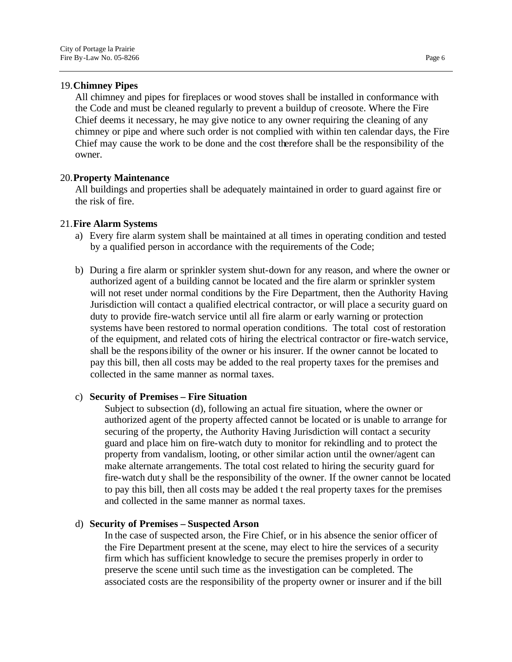### 19.**Chimney Pipes**

All chimney and pipes for fireplaces or wood stoves shall be installed in conformance with the Code and must be cleaned regularly to prevent a buildup of creosote. Where the Fire Chief deems it necessary, he may give notice to any owner requiring the cleaning of any chimney or pipe and where such order is not complied with within ten calendar days, the Fire Chief may cause the work to be done and the cost therefore shall be the responsibility of the owner.

### 20.**Property Maintenance**

All buildings and properties shall be adequately maintained in order to guard against fire or the risk of fire.

### 21.**Fire Alarm Systems**

- a) Every fire alarm system shall be maintained at all times in operating condition and tested by a qualified person in accordance with the requirements of the Code;
- b) During a fire alarm or sprinkler system shut-down for any reason, and where the owner or authorized agent of a building cannot be located and the fire alarm or sprinkler system will not reset under normal conditions by the Fire Department, then the Authority Having Jurisdiction will contact a qualified electrical contractor, or will place a security guard on duty to provide fire-watch service until all fire alarm or early warning or protection systems have been restored to normal operation conditions. The total cost of restoration of the equipment, and related cots of hiring the electrical contractor or fire-watch service, shall be the responsibility of the owner or his insurer. If the owner cannot be located to pay this bill, then all costs may be added to the real property taxes for the premises and collected in the same manner as normal taxes.

### c) **Security of Premises – Fire Situation**

Subject to subsection (d), following an actual fire situation, where the owner or authorized agent of the property affected cannot be located or is unable to arrange for securing of the property, the Authority Having Jurisdiction will contact a security guard and place him on fire-watch duty to monitor for rekindling and to protect the property from vandalism, looting, or other similar action until the owner/agent can make alternate arrangements. The total cost related to hiring the security guard for fire-watch duty shall be the responsibility of the owner. If the owner cannot be located to pay this bill, then all costs may be added t the real property taxes for the premises and collected in the same manner as normal taxes.

### d) **Security of Premises – Suspected Arson**

In the case of suspected arson, the Fire Chief, or in his absence the senior officer of the Fire Department present at the scene, may elect to hire the services of a security firm which has sufficient knowledge to secure the premises properly in order to preserve the scene until such time as the investigation can be completed. The associated costs are the responsibility of the property owner or insurer and if the bill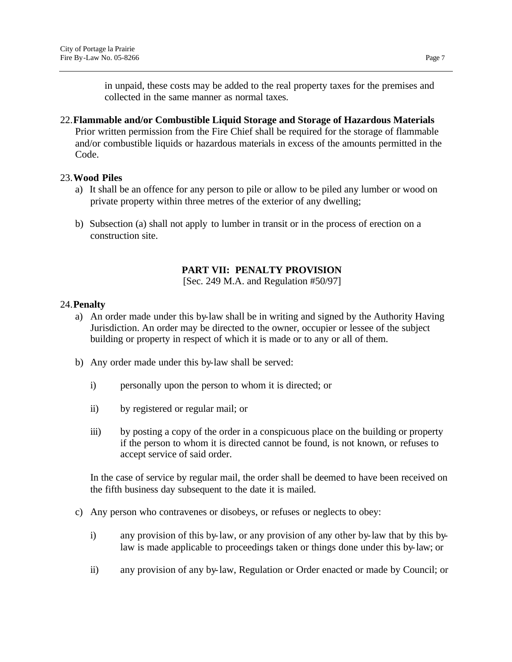22.**Flammable and/or Combustible Liquid Storage and Storage of Hazardous Materials** Prior written permission from the Fire Chief shall be required for the storage of flammable and/or combustible liquids or hazardous materials in excess of the amounts permitted in the Code.

## 23.**Wood Piles**

- a) It shall be an offence for any person to pile or allow to be piled any lumber or wood on private property within three metres of the exterior of any dwelling;
- b) Subsection (a) shall not apply to lumber in transit or in the process of erection on a construction site.

## **PART VII: PENALTY PROVISION**

[Sec. 249 M.A. and Regulation #50/97]

## 24.**Penalty**

- a) An order made under this by-law shall be in writing and signed by the Authority Having Jurisdiction. An order may be directed to the owner, occupier or lessee of the subject building or property in respect of which it is made or to any or all of them.
- b) Any order made under this by-law shall be served:
	- i) personally upon the person to whom it is directed; or
	- ii) by registered or regular mail; or
	- iii) by posting a copy of the order in a conspicuous place on the building or property if the person to whom it is directed cannot be found, is not known, or refuses to accept service of said order.

In the case of service by regular mail, the order shall be deemed to have been received on the fifth business day subsequent to the date it is mailed.

- c) Any person who contravenes or disobeys, or refuses or neglects to obey:
	- i) any provision of this by-law, or any provision of any other by-law that by this bylaw is made applicable to proceedings taken or things done under this by-law; or
	- ii) any provision of any by-law, Regulation or Order enacted or made by Council; or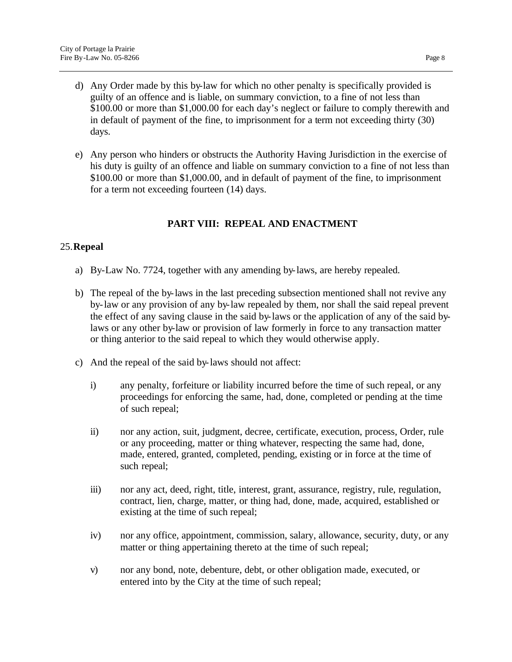- d) Any Order made by this by-law for which no other penalty is specifically provided is guilty of an offence and is liable, on summary conviction, to a fine of not less than \$100.00 or more than \$1,000.00 for each day's neglect or failure to comply therewith and in default of payment of the fine, to imprisonment for a term not exceeding thirty (30) days.
- e) Any person who hinders or obstructs the Authority Having Jurisdiction in the exercise of his duty is guilty of an offence and liable on summary conviction to a fine of not less than \$100.00 or more than \$1,000.00, and in default of payment of the fine, to imprisonment for a term not exceeding fourteen (14) days.

## **PART VIII: REPEAL AND ENACTMENT**

## 25.**Repeal**

- a) By-Law No. 7724, together with any amending by-laws, are hereby repealed.
- b) The repeal of the by-laws in the last preceding subsection mentioned shall not revive any by-law or any provision of any by-law repealed by them, nor shall the said repeal prevent the effect of any saving clause in the said by-laws or the application of any of the said bylaws or any other by-law or provision of law formerly in force to any transaction matter or thing anterior to the said repeal to which they would otherwise apply.
- c) And the repeal of the said by-laws should not affect:
	- i) any penalty, forfeiture or liability incurred before the time of such repeal, or any proceedings for enforcing the same, had, done, completed or pending at the time of such repeal;
	- ii) nor any action, suit, judgment, decree, certificate, execution, process, Order, rule or any proceeding, matter or thing whatever, respecting the same had, done, made, entered, granted, completed, pending, existing or in force at the time of such repeal;
	- iii) nor any act, deed, right, title, interest, grant, assurance, registry, rule, regulation, contract, lien, charge, matter, or thing had, done, made, acquired, established or existing at the time of such repeal;
	- iv) nor any office, appointment, commission, salary, allowance, security, duty, or any matter or thing appertaining thereto at the time of such repeal;
	- v) nor any bond, note, debenture, debt, or other obligation made, executed, or entered into by the City at the time of such repeal;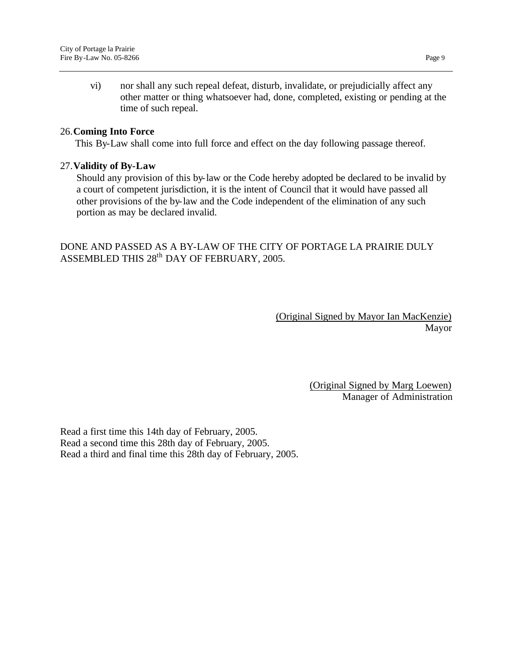vi) nor shall any such repeal defeat, disturb, invalidate, or prejudicially affect any other matter or thing whatsoever had, done, completed, existing or pending at the time of such repeal.

## 26.**Coming Into Force**

This By-Law shall come into full force and effect on the day following passage thereof.

### 27.**Validity of By-Law**

Should any provision of this by-law or the Code hereby adopted be declared to be invalid by a court of competent jurisdiction, it is the intent of Council that it would have passed all other provisions of the by-law and the Code independent of the elimination of any such portion as may be declared invalid.

DONE AND PASSED AS A BY-LAW OF THE CITY OF PORTAGE LA PRAIRIE DULY ASSEMBLED THIS  $28^{\rm th}$  DAY OF FEBRUARY, 2005.

> (Original Signed by Mayor Ian MacKenzie) Mayor

> > (Original Signed by Marg Loewen) Manager of Administration

Read a first time this 14th day of February, 2005. Read a second time this 28th day of February, 2005. Read a third and final time this 28th day of February, 2005.